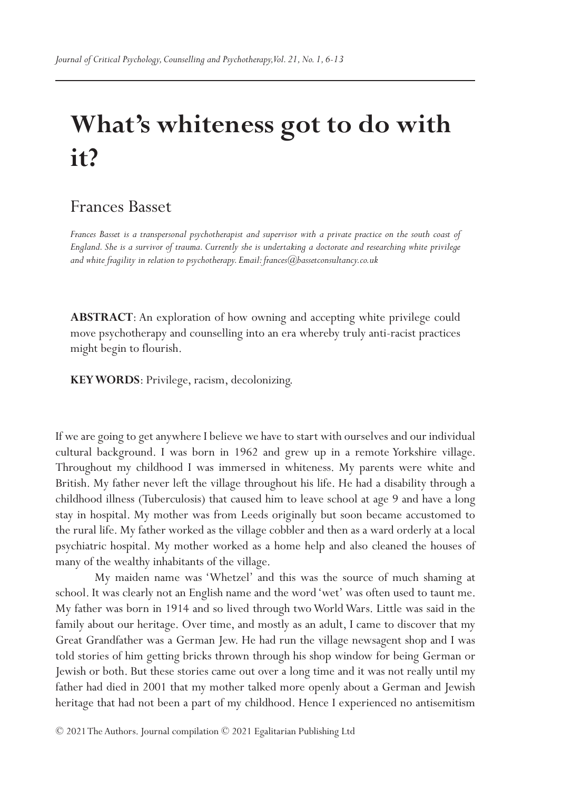# **What's whiteness got to do with it?**

## Frances Basset

*Frances Basset is a transpersonal psychotherapist and supervisor with a private practice on the south coast of England. She is a survivor of trauma. Currently she is undertaking a doctorate and researching white privilege and white fragility in relation to psychotherapy. Email: frances@bassetconsultancy.co.uk*

**ABSTRACT**: An exploration of how owning and accepting white privilege could move psychotherapy and counselling into an era whereby truly anti-racist practices might begin to flourish.

**KEY WORDS**: Privilege, racism, decolonizing.

If we are going to get anywhere I believe we have to start with ourselves and our individual cultural background. I was born in 1962 and grew up in a remote Yorkshire village. Throughout my childhood I was immersed in whiteness. My parents were white and British. My father never left the village throughout his life. He had a disability through a childhood illness (Tuberculosis) that caused him to leave school at age 9 and have a long stay in hospital. My mother was from Leeds originally but soon became accustomed to the rural life. My father worked as the village cobbler and then as a ward orderly at a local psychiatric hospital. My mother worked as a home help and also cleaned the houses of many of the wealthy inhabitants of the village.

My maiden name was 'Whetzel' and this was the source of much shaming at school. It was clearly not an English name and the word 'wet' was often used to taunt me. My father was born in 1914 and so lived through two World Wars. Little was said in the family about our heritage. Over time, and mostly as an adult, I came to discover that my Great Grandfather was a German Jew. He had run the village newsagent shop and I was told stories of him getting bricks thrown through his shop window for being German or Jewish or both. But these stories came out over a long time and it was not really until my father had died in 2001 that my mother talked more openly about a German and Jewish heritage that had not been a part of my childhood. Hence I experienced no antisemitism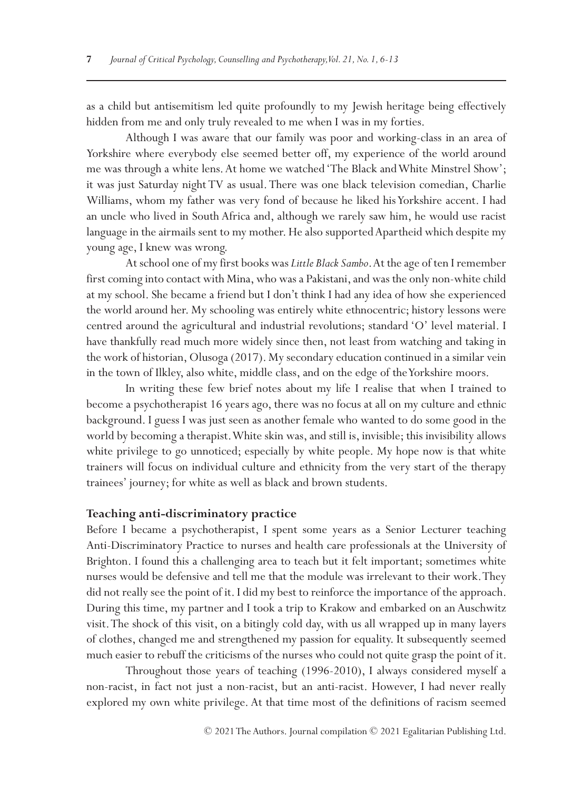as a child but antisemitism led quite profoundly to my Jewish heritage being effectively hidden from me and only truly revealed to me when I was in my forties.

Although I was aware that our family was poor and working-class in an area of Yorkshire where everybody else seemed better off, my experience of the world around me was through a white lens. At home we watched 'The Black and White Minstrel Show'; it was just Saturday night TV as usual. There was one black television comedian, Charlie Williams, whom my father was very fond of because he liked his Yorkshire accent. I had an uncle who lived in South Africa and, although we rarely saw him, he would use racist language in the airmails sent to my mother. He also supported Apartheid which despite my young age, I knew was wrong.

At school one of my first books was *Little Black Sambo*. At the age of ten I remember first coming into contact with Mina, who was a Pakistani, and was the only non-white child at my school. She became a friend but I don't think I had any idea of how she experienced the world around her. My schooling was entirely white ethnocentric; history lessons were centred around the agricultural and industrial revolutions; standard 'O' level material. I have thankfully read much more widely since then, not least from watching and taking in the work of historian, Olusoga (2017). My secondary education continued in a similar vein in the town of Ilkley, also white, middle class, and on the edge of the Yorkshire moors.

In writing these few brief notes about my life I realise that when I trained to become a psychotherapist 16 years ago, there was no focus at all on my culture and ethnic background. I guess I was just seen as another female who wanted to do some good in the world by becoming a therapist. White skin was, and still is, invisible; this invisibility allows white privilege to go unnoticed; especially by white people. My hope now is that white trainers will focus on individual culture and ethnicity from the very start of the therapy trainees' journey; for white as well as black and brown students.

#### **Teaching anti-discriminatory practice**

Before I became a psychotherapist, I spent some years as a Senior Lecturer teaching Anti-Discriminatory Practice to nurses and health care professionals at the University of Brighton. I found this a challenging area to teach but it felt important; sometimes white nurses would be defensive and tell me that the module was irrelevant to their work. They did not really see the point of it. I did my best to reinforce the importance of the approach. During this time, my partner and I took a trip to Krakow and embarked on an Auschwitz visit. The shock of this visit, on a bitingly cold day, with us all wrapped up in many layers of clothes, changed me and strengthened my passion for equality. It subsequently seemed much easier to rebuff the criticisms of the nurses who could not quite grasp the point of it.

Throughout those years of teaching (1996-2010), I always considered myself a non-racist, in fact not just a non-racist, but an anti-racist. However, I had never really explored my own white privilege. At that time most of the definitions of racism seemed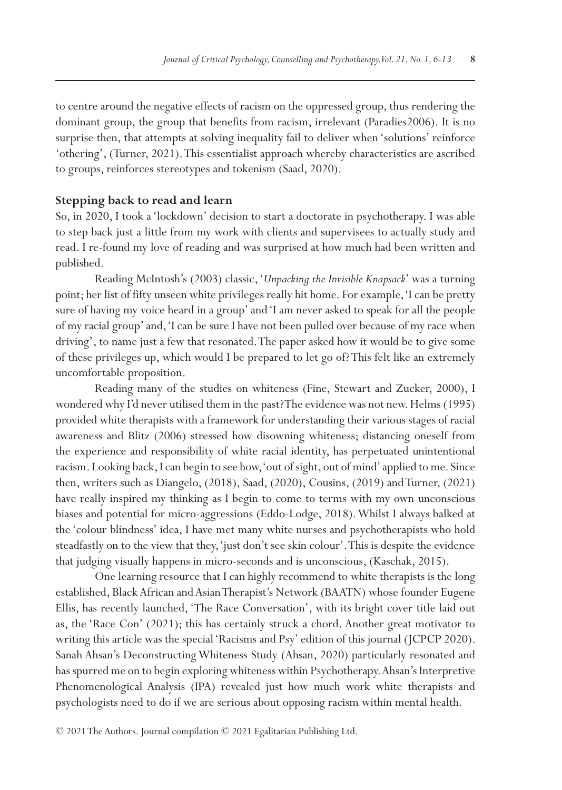to centre around the negative effects of racism on the oppressed group, thus rendering the dominant group, the group that benefits from racism, irrelevant (Paradies2006). It is no surprise then, that attempts at solving inequality fail to deliver when 'solutions' reinforce 'othering', (Turner, 2021). This essentialist approach whereby characteristics are ascribed to groups, reinforces stereotypes and tokenism (Saad, 2020).

#### **Stepping back to read and learn**

So, in 2020, I took a 'lockdown' decision to start a doctorate in psychotherapy. I was able to step back just a little from my work with clients and supervisees to actually study and read. I re-found my love of reading and was surprised at how much had been written and published.

Reading McIntosh's (2003) classic, '*Unpacking the Invisible Knapsack*' was a turning point; her list of fifty unseen white privileges really hit home. For example, 'I can be pretty sure of having my voice heard in a group' and 'I am never asked to speak for all the people of my racial group' and, 'I can be sure I have not been pulled over because of my race when driving', to name just a few that resonated. The paper asked how it would be to give some of these privileges up, which would I be prepared to let go of? This felt like an extremely uncomfortable proposition.

Reading many of the studies on whiteness (Fine, Stewart and Zucker, 2000), I wondered why I'd never utilised them in the past? The evidence was not new. Helms (1995) provided white therapists with a framework for understanding their various stages of racial awareness and Blitz (2006) stressed how disowning whiteness; distancing oneself from the experience and responsibility of white racial identity, has perpetuated unintentional racism. Looking back, I can begin to see how, 'out of sight, out of mind' applied to me. Since then, writers such as Diangelo, (2018), Saad, (2020), Cousins, (2019) and Turner, (2021) have really inspired my thinking as I begin to come to terms with my own unconscious biases and potential for micro-aggressions (Eddo-Lodge, 2018). Whilst I always balked at the 'colour blindness' idea, I have met many white nurses and psychotherapists who hold steadfastly on to the view that they, 'just don't see skin colour'. This is despite the evidence that judging visually happens in micro-seconds and is unconscious, (Kaschak, 2015).

One learning resource that I can highly recommend to white therapists is the long established, Black African and Asian Therapist's Network (BAATN) whose founder Eugene Ellis, has recently launched, 'The Race Conversation', with its bright cover title laid out as, the 'Race Con' (2021); this has certainly struck a chord. Another great motivator to writing this article was the special 'Racisms and Psy' edition of this journal (JCPCP 2020). Sanah Ahsan's Deconstructing Whiteness Study (Ahsan, 2020) particularly resonated and has spurred me on to begin exploring whiteness within Psychotherapy. Ahsan's Interpretive Phenomenological Analysis (IPA) revealed just how much work white therapists and psychologists need to do if we are serious about opposing racism within mental health.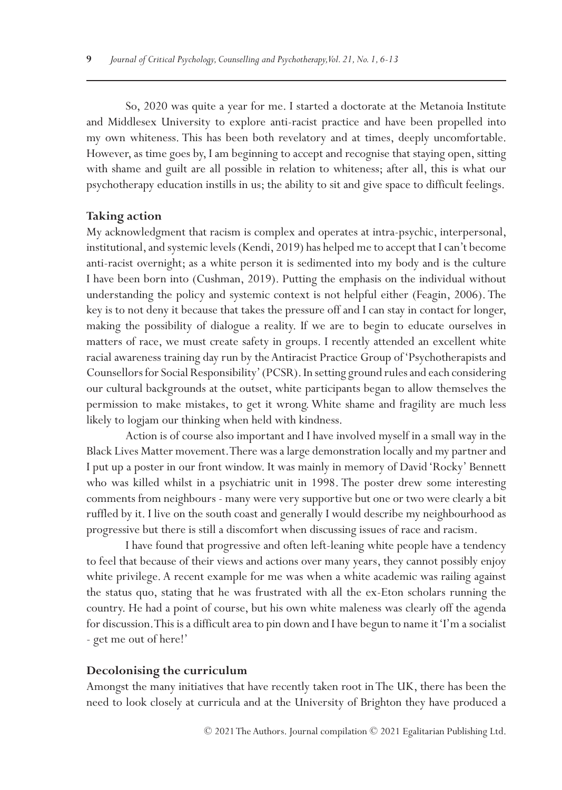So, 2020 was quite a year for me. I started a doctorate at the Metanoia Institute and Middlesex University to explore anti-racist practice and have been propelled into my own whiteness. This has been both revelatory and at times, deeply uncomfortable. However, as time goes by, I am beginning to accept and recognise that staying open, sitting with shame and guilt are all possible in relation to whiteness; after all, this is what our psychotherapy education instills in us; the ability to sit and give space to difficult feelings.

#### **Taking action**

My acknowledgment that racism is complex and operates at intra-psychic, interpersonal, institutional, and systemic levels (Kendi, 2019) has helped me to accept that I can't become anti-racist overnight; as a white person it is sedimented into my body and is the culture I have been born into (Cushman, 2019). Putting the emphasis on the individual without understanding the policy and systemic context is not helpful either (Feagin, 2006). The key is to not deny it because that takes the pressure off and I can stay in contact for longer, making the possibility of dialogue a reality. If we are to begin to educate ourselves in matters of race, we must create safety in groups. I recently attended an excellent white racial awareness training day run by the Antiracist Practice Group of 'Psychotherapists and Counsellors for Social Responsibility' (PCSR). In setting ground rules and each considering our cultural backgrounds at the outset, white participants began to allow themselves the permission to make mistakes, to get it wrong. White shame and fragility are much less likely to logjam our thinking when held with kindness.

Action is of course also important and I have involved myself in a small way in the Black Lives Matter movement. There was a large demonstration locally and my partner and I put up a poster in our front window. It was mainly in memory of David 'Rocky' Bennett who was killed whilst in a psychiatric unit in 1998. The poster drew some interesting comments from neighbours - many were very supportive but one or two were clearly a bit ruffled by it. I live on the south coast and generally I would describe my neighbourhood as progressive but there is still a discomfort when discussing issues of race and racism.

I have found that progressive and often left-leaning white people have a tendency to feel that because of their views and actions over many years, they cannot possibly enjoy white privilege. A recent example for me was when a white academic was railing against the status quo, stating that he was frustrated with all the ex-Eton scholars running the country. He had a point of course, but his own white maleness was clearly off the agenda for discussion. This is a difficult area to pin down and I have begun to name it 'I'm a socialist - get me out of here!'

#### **Decolonising the curriculum**

Amongst the many initiatives that have recently taken root in The UK, there has been the need to look closely at curricula and at the University of Brighton they have produced a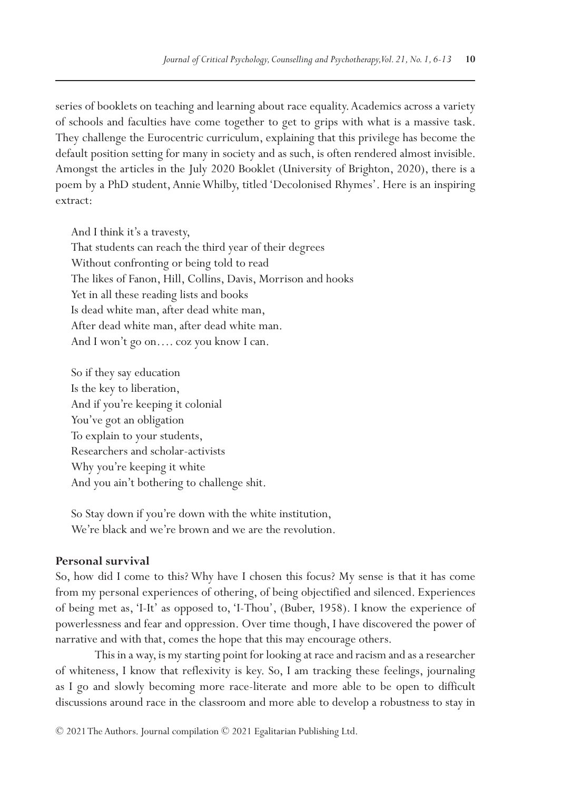series of booklets on teaching and learning about race equality. Academics across a variety of schools and faculties have come together to get to grips with what is a massive task. They challenge the Eurocentric curriculum, explaining that this privilege has become the default position setting for many in society and as such, is often rendered almost invisible. Amongst the articles in the July 2020 Booklet (University of Brighton, 2020), there is a poem by a PhD student, Annie Whilby, titled 'Decolonised Rhymes'. Here is an inspiring extract:

And I think it's a travesty, That students can reach the third year of their degrees Without confronting or being told to read The likes of Fanon, Hill, Collins, Davis, Morrison and hooks Yet in all these reading lists and books Is dead white man, after dead white man, After dead white man, after dead white man. And I won't go on…. coz you know I can.

So if they say education Is the key to liberation, And if you're keeping it colonial You've got an obligation To explain to your students, Researchers and scholar-activists Why you're keeping it white And you ain't bothering to challenge shit.

So Stay down if you're down with the white institution, We're black and we're brown and we are the revolution.

#### **Personal survival**

So, how did I come to this? Why have I chosen this focus? My sense is that it has come from my personal experiences of othering, of being objectified and silenced. Experiences of being met as, 'I-It' as opposed to, 'I-Thou', (Buber, 1958). I know the experience of powerlessness and fear and oppression. Over time though, I have discovered the power of narrative and with that, comes the hope that this may encourage others.

This in a way, is my starting point for looking at race and racism and as a researcher of whiteness, I know that reflexivity is key. So, I am tracking these feelings, journaling as I go and slowly becoming more race-literate and more able to be open to difficult discussions around race in the classroom and more able to develop a robustness to stay in

© 2021 The Authors. Journal compilation © 2021 Egalitarian Publishing Ltd.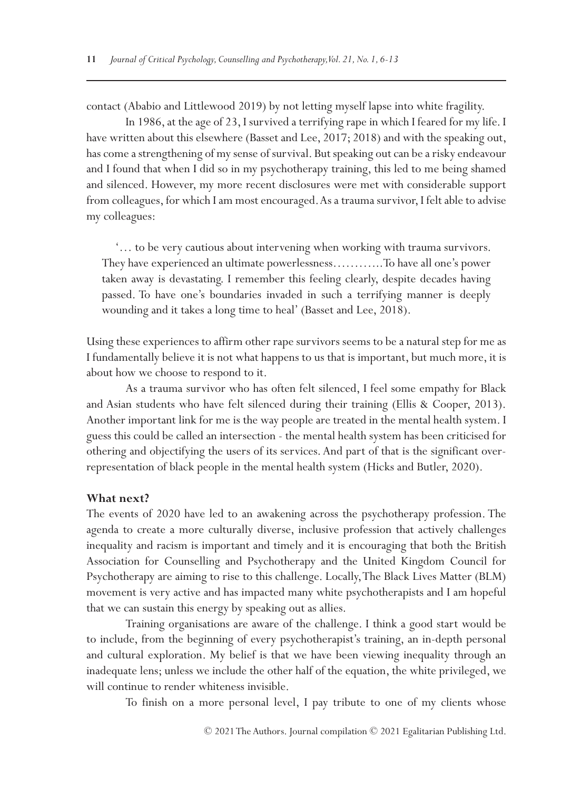contact (Ababio and Littlewood 2019) by not letting myself lapse into white fragility.

In 1986, at the age of 23, I survived a terrifying rape in which I feared for my life. I have written about this elsewhere (Basset and Lee, 2017; 2018) and with the speaking out, has come a strengthening of my sense of survival. But speaking out can be a risky endeavour and I found that when I did so in my psychotherapy training, this led to me being shamed and silenced. However, my more recent disclosures were met with considerable support from colleagues, for which I am most encouraged. As a trauma survivor, I felt able to advise my colleagues:

 '… to be very cautious about intervening when working with trauma survivors. They have experienced an ultimate powerlessness………...To have all one's power taken away is devastating. I remember this feeling clearly, despite decades having passed. To have one's boundaries invaded in such a terrifying manner is deeply wounding and it takes a long time to heal' (Basset and Lee, 2018).

Using these experiences to affirm other rape survivors seems to be a natural step for me as I fundamentally believe it is not what happens to us that is important, but much more, it is about how we choose to respond to it.

As a trauma survivor who has often felt silenced, I feel some empathy for Black and Asian students who have felt silenced during their training (Ellis & Cooper, 2013). Another important link for me is the way people are treated in the mental health system. I guess this could be called an intersection - the mental health system has been criticised for othering and objectifying the users of its services. And part of that is the significant overrepresentation of black people in the mental health system (Hicks and Butler, 2020).

#### **What next?**

The events of 2020 have led to an awakening across the psychotherapy profession. The agenda to create a more culturally diverse, inclusive profession that actively challenges inequality and racism is important and timely and it is encouraging that both the British Association for Counselling and Psychotherapy and the United Kingdom Council for Psychotherapy are aiming to rise to this challenge. Locally, The Black Lives Matter (BLM) movement is very active and has impacted many white psychotherapists and I am hopeful that we can sustain this energy by speaking out as allies.

Training organisations are aware of the challenge. I think a good start would be to include, from the beginning of every psychotherapist's training, an in-depth personal and cultural exploration. My belief is that we have been viewing inequality through an inadequate lens; unless we include the other half of the equation, the white privileged, we will continue to render whiteness invisible.

To finish on a more personal level, I pay tribute to one of my clients whose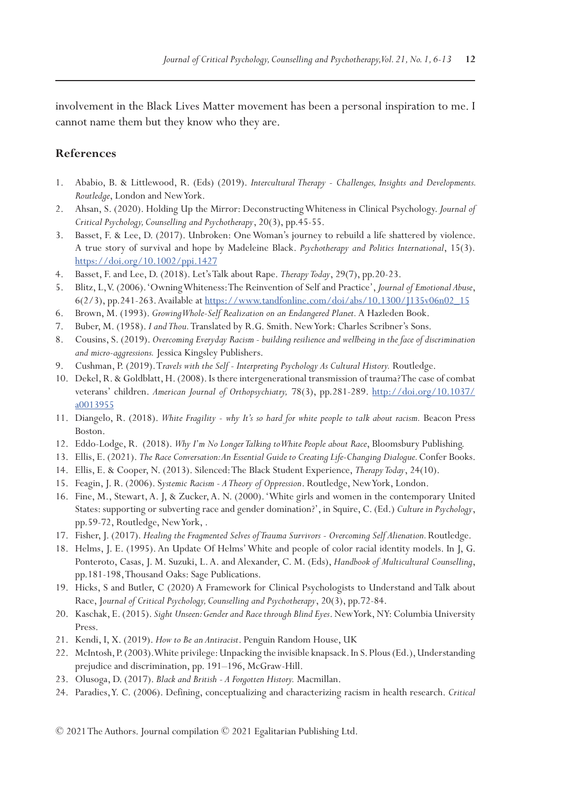involvement in the Black Lives Matter movement has been a personal inspiration to me. I cannot name them but they know who they are.

### **References**

- 1. Ababio, B. & Littlewood, R. (Eds) (2019). *Intercultural Therapy Challenges, Insights and Developments. Routledge*, London and New York.
- 2. Ahsan, S. (2020). Holding Up the Mirror: Deconstructing Whiteness in Clinical Psychology. *Journal of Critical Psychology, Counselling and Psychotherapy*, 20(3), pp.45-55.
- 3. Basset, F. & Lee, D. (2017). Unbroken: One Woman's journey to rebuild a life shattered by violence. A true story of survival and hope by Madeleine Black. *Psychotherapy and Politics International*, 15(3). <https://doi.org/10.1002/ppi.1427>
- 4. Basset, F. and Lee, D. (2018). Let's Talk about Rape. *Therapy Today*, 29(7), pp.20-23.
- 5. Blitz, L, V. (2006). 'Owning Whiteness: The Reinvention of Self and Practice', *Journal of Emotional Abuse*, 6(2/3), pp.241-263. Available at [https://www.tandfonline.com/doi/abs/10.1300/J135v06n02\\_15](https://www.tandfonline.com/doi/abs/10.1300/J135v06n02_15)
- 6. Brown, M. (1993). *Growing Whole-Self Realization on an Endangered Planet.* A Hazleden Book.
- 7. Buber, M. (1958). *I and Thou.* Translated by R.G. Smith. New York: Charles Scribner's Sons.
- 8. Cousins, S. (2019). *Overcoming Everyday Racism building resilience and wellbeing in the face of discrimination and micro-aggressions.* Jessica Kingsley Publishers.
- 9. Cushman, P. (2019). T*ravels with the Self Interpreting Psychology As Cultural History.* Routledge.
- 10. Dekel, R. & Goldblatt, H. (2008). Is there intergenerational transmission of trauma? The case of combat veterans' children. *American Journal of Orthopsychiatry,* 78(3), pp.281-289. [http://doi.org/10.1037/](http://doi.org/10.1037/a0013955) [a0013955](http://doi.org/10.1037/a0013955)
- 11. Diangelo, R. (2018). *White Fragility why It's so hard for white people to talk about racism.* Beacon Press Boston.
- 12. Eddo-Lodge, R. (2018). *Why I'm No Longer Talking to White People about Race*, Bloomsbury Publishing.
- 13. Ellis, E. (2021). *The Race Conversation: An Essential Guide to Creating Life-Changing Dialogue.* Confer Books.
- 14. Ellis, E. & Cooper, N. (2013). Silenced: The Black Student Experience, *Therapy Today*, 24(10).
- 15. Feagin, J. R. (2006). S*ystemic Racism A Theory of Oppression*. Routledge, New York, London.
- 16. Fine, M., Stewart, A. J, & Zucker, A. N. (2000). 'White girls and women in the contemporary United States: supporting or subverting race and gender domination?', in Squire, C. (Ed.) *Culture in Psychology*, pp.59-72, Routledge, New York, .
- 17. Fisher, J. (2017). *Healing the Fragmented Selves of Trauma Survivors Overcoming Self Alienation.* Routledge.
- 18. Helms, J. E. (1995). An Update Of Helms' White and people of color racial identity models. In J, G. Ponteroto, Casas, J. M. Suzuki, L. A. and Alexander, C. M. (Eds), *Handbook of Multicultural Counselling*, pp.181-198, Thousand Oaks: Sage Publications.
- 19. Hicks, S and Butler, C (2020) A Framework for Clinical Psychologists to Understand and Talk about Race, J*ournal of Critical Psychology, Counselling and Psychotherapy*, 20(3), pp.72-84.
- 20. Kaschak, E. (2015). *Sight Unseen: Gender and Race through Blind Eyes*. New York, NY: Columbia University Press.
- 21. Kendi, I, X. (2019). *How to Be an Antiracist*. Penguin Random House, UK
- 22. McIntosh, P. (2003). White privilege: Unpacking the invisible knapsack. In S. Plous (Ed.), Understanding prejudice and discrimination, pp. 191–196, McGraw-Hill.
- 23. Olusoga, D. (2017). *Black and British A Forgotten History.* Macmillan.
- 24. Paradies, Y. C. (2006). Defining, conceptualizing and characterizing racism in health research. *Critical*

© 2021 The Authors. Journal compilation © 2021 Egalitarian Publishing Ltd.